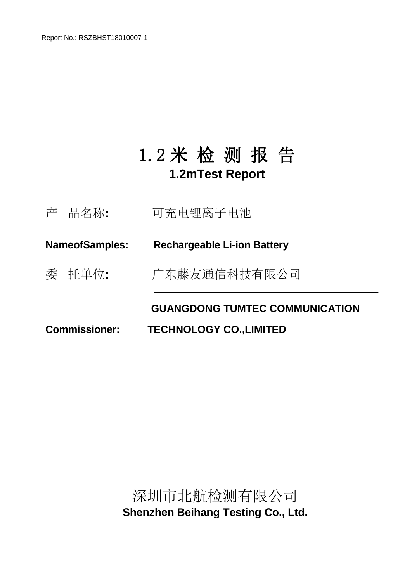Report No.: RSZBHST18010007-1

## 1.2 米 检 测 报 告 **1.2mTest Report**

|                       | 产 品名称: | 可充电锂离子电池                              |
|-----------------------|--------|---------------------------------------|
| <b>NameofSamples:</b> |        | <b>Rechargeable Li-ion Battery</b>    |
|                       | 委 托单位: | 广东藤友通信科技有限公司                          |
|                       |        | <b>GUANGDONG TUMTEC COMMUNICATION</b> |
| <b>Commissioner:</b>  |        | <b>TECHNOLOGY CO., LIMITED</b>        |

深圳市北航检测有限公司 **Shenzhen Beihang Testing Co., Ltd.**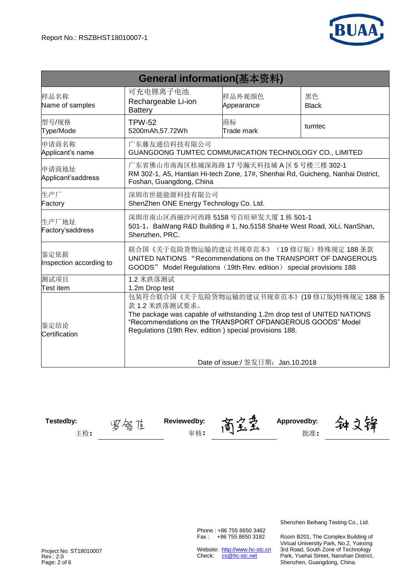

| General information(基本资料)                                                                                                                                                                                                                                                                                  |                                                                                                                                                                               |                      |                    |  |  |  |
|------------------------------------------------------------------------------------------------------------------------------------------------------------------------------------------------------------------------------------------------------------------------------------------------------------|-------------------------------------------------------------------------------------------------------------------------------------------------------------------------------|----------------------|--------------------|--|--|--|
| 样品名称<br>Name of samples                                                                                                                                                                                                                                                                                    | 可充电锂离子电池<br>Rechargeable Li-ion<br><b>Battery</b>                                                                                                                             | 样品外观颜色<br>Appearance | 黑色<br><b>Black</b> |  |  |  |
| 型号/规格<br>Type/Mode                                                                                                                                                                                                                                                                                         | <b>TPW-52</b><br>5200mAh, 57.72Wh                                                                                                                                             | 商标<br>Trade mark     | tumtec             |  |  |  |
| 申请商名称<br>Applicant's name                                                                                                                                                                                                                                                                                  | 广东藤友通信科技有限公司<br>GUANGDONG TUMTEC COMMUNICATION TECHNOLOGY CO., LIMITED                                                                                                        |                      |                    |  |  |  |
| 申请商地址<br>Applicant'saddress                                                                                                                                                                                                                                                                                | 广东省佛山市南海区桂城深海路 17 号瀚天科技城 A 区 5 号楼三楼 302-1<br>RM 302-1, A5, Hantian Hi-tech Zone, 17#, Shenhai Rd, Guicheng, Nanhai District,<br>Foshan, Guangdong, China                      |                      |                    |  |  |  |
| 生产厂<br>Factory                                                                                                                                                                                                                                                                                             | 深圳市世能能源科技有限公司<br>ShenZhen ONE Energy Technology Co. Ltd.                                                                                                                      |                      |                    |  |  |  |
| 生产厂地址<br>Factory'saddress                                                                                                                                                                                                                                                                                  | 深圳市南山区西丽沙河西路 5158号百旺研发大厦 1 栋 501-1<br>501-1, BaiWang R&D Building # 1, No.5158 ShaHe West Road, XiLi, NanShan,<br>Shenzhen, PRC.                                              |                      |                    |  |  |  |
| 鉴定依据<br>Inspection according to                                                                                                                                                                                                                                                                            | 联合国《关于危险货物运输的建议书规章范本》(19修订版)特殊规定188条款<br>UNITED NATIONS "Recommendations on the TRANSPORT OF DANGEROUS<br>GOODS" Model Regulations (19th Rev. edition) special provisions 188 |                      |                    |  |  |  |
| 测试项目<br><b>Test item</b>                                                                                                                                                                                                                                                                                   | 1.2 米跌落测试                                                                                                                                                                     |                      |                    |  |  |  |
| 1.2m Drop test<br>包装符合联合国《关于危险货物运输的建议书规章范本》(19修订版)特殊规定188条<br>款 1.2 米跌落测试要求。<br>The package was capable of withstanding 1.2m drop test of UNITED NATIONS<br>"Recommendations on the TRANSPORT OFDANGEROUS GOODS" Model<br>鉴定结论<br>Regulations (19th Rev. edition) special provisions 188.<br>Certification |                                                                                                                                                                               |                      |                    |  |  |  |
|                                                                                                                                                                                                                                                                                                            | Date of issue:/ 签发日期: Jan.10.2018                                                                                                                                             |                      |                    |  |  |  |

**Testedby: Reviewedby: Approvedby:** 主检: タンタンタンタンティア する: キャンタンランド する: キャンタンランド おんじょう おんじょう おんじょう おんじょう おんじょう おんじょう アイストライン おんじょう はんじょう エンチ こうしゅう

神文锋

Phone : +86 755 8650 3482 Fax : +86 755 8650 3182

Website: http://www.hc-stc.cn Check: cs@hc-stc.net

Shenzhen Beihang Testing Co., Ltd.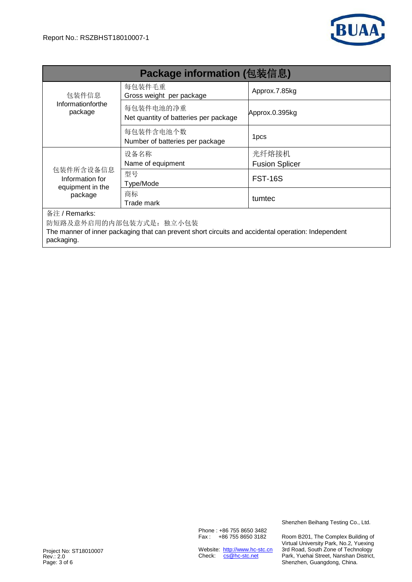

| <b>Package information (包装信息)</b>                                                                                                            |                                                    |                       |  |  |  |  |  |
|----------------------------------------------------------------------------------------------------------------------------------------------|----------------------------------------------------|-----------------------|--|--|--|--|--|
| 包装件信息                                                                                                                                        | 每包装件毛重<br>Gross weight per package                 | Approx.7.85kg         |  |  |  |  |  |
| Informationforthe<br>package                                                                                                                 | 每包装件电池的净重<br>Net quantity of batteries per package | Approx.0.395kg        |  |  |  |  |  |
|                                                                                                                                              | 每包装件含电池个数<br>Number of batteries per package       | 1 <sub>pcs</sub>      |  |  |  |  |  |
|                                                                                                                                              | 设备名称                                               | 光纤熔接机                 |  |  |  |  |  |
|                                                                                                                                              | Name of equipment                                  | <b>Fusion Splicer</b> |  |  |  |  |  |
| 包装件所含设备信息<br>Information for<br>equipment in the                                                                                             | 型号<br>Type/Mode                                    | <b>FST-16S</b>        |  |  |  |  |  |
| package                                                                                                                                      | 商标                                                 | tumtec                |  |  |  |  |  |
|                                                                                                                                              | Trade mark                                         |                       |  |  |  |  |  |
| 备注 / Remarks:                                                                                                                                |                                                    |                       |  |  |  |  |  |
| 防短路及意外启用的内部包装方式是: 独立小包装<br>The manner of inner packaging that can prevent short circuits and accidental operation: Independent<br>packaging. |                                                    |                       |  |  |  |  |  |

Phone : +86 755 8650 3482 Fax : +86 755 8650 3182

Website: http://www.hc-stc.cn Check: cs@hc-stc.net

Shenzhen Beihang Testing Co., Ltd.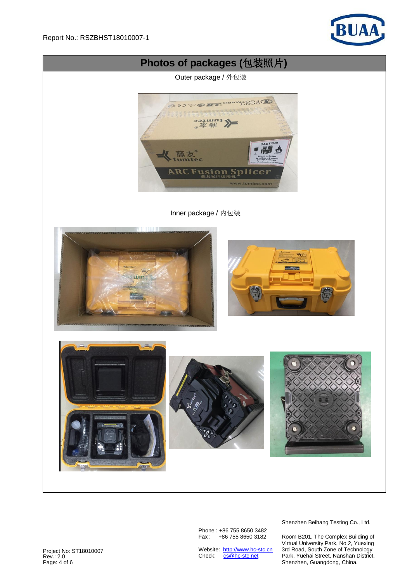



Phone : +86 755 8650 3482 Fax : +86 755 8650 3182

Website: http://www.hc-stc.cn Check: cs@hc-stc.net

Shenzhen Beihang Testing Co., Ltd.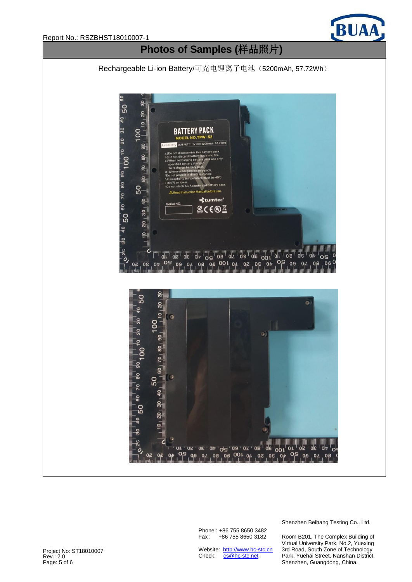![](_page_4_Picture_0.jpeg)

![](_page_4_Figure_1.jpeg)

## **Photos of Samples (**样品照片**)**

Rechargeable Li-ion Battery/可充电锂离子电池(5200mAh, 57.72Wh)

![](_page_4_Figure_4.jpeg)

Phone : +86 755 8650 3482 Fax : +86 755 8650 3182

Website: http://www.hc-stc.cn Check: cs@hc-stc.net

Shenzhen Beihang Testing Co., Ltd.